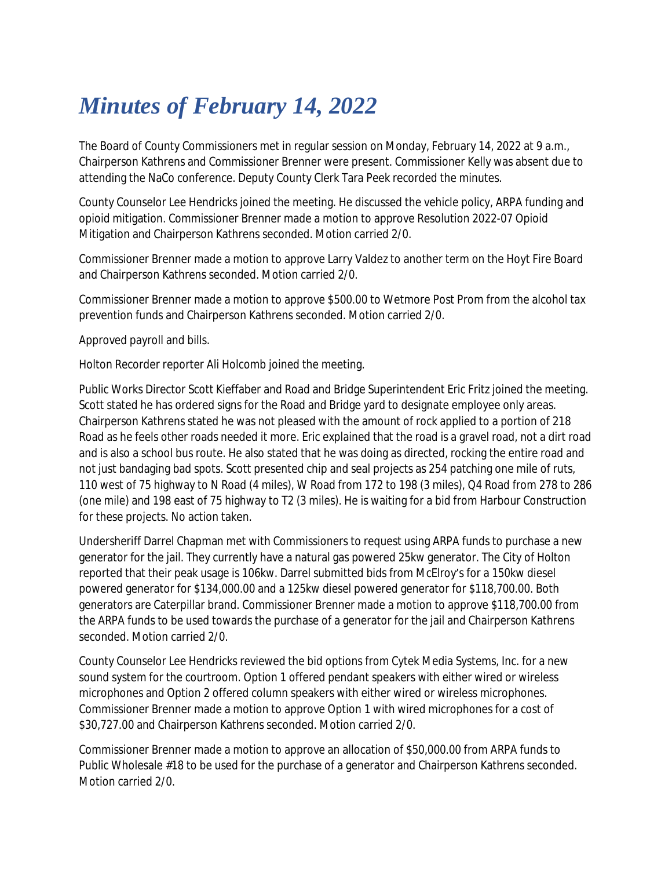## *Minutes of February 14, 2022*

The Board of County Commissioners met in regular session on Monday, February 14, 2022 at 9 a.m., Chairperson Kathrens and Commissioner Brenner were present. Commissioner Kelly was absent due to attending the NaCo conference. Deputy County Clerk Tara Peek recorded the minutes.

County Counselor Lee Hendricks joined the meeting. He discussed the vehicle policy, ARPA funding and opioid mitigation. Commissioner Brenner made a motion to approve Resolution 2022-07 Opioid Mitigation and Chairperson Kathrens seconded. Motion carried 2/0.

Commissioner Brenner made a motion to approve Larry Valdez to another term on the Hoyt Fire Board and Chairperson Kathrens seconded. Motion carried 2/0.

Commissioner Brenner made a motion to approve \$500.00 to Wetmore Post Prom from the alcohol tax prevention funds and Chairperson Kathrens seconded. Motion carried 2/0.

Approved payroll and bills.

Holton Recorder reporter Ali Holcomb joined the meeting.

Public Works Director Scott Kieffaber and Road and Bridge Superintendent Eric Fritz joined the meeting. Scott stated he has ordered signs for the Road and Bridge yard to designate employee only areas. Chairperson Kathrens stated he was not pleased with the amount of rock applied to a portion of 218 Road as he feels other roads needed it more. Eric explained that the road is a gravel road, not a dirt road and is also a school bus route. He also stated that he was doing as directed, rocking the entire road and not just bandaging bad spots. Scott presented chip and seal projects as 254 patching one mile of ruts, 110 west of 75 highway to N Road (4 miles), W Road from 172 to 198 (3 miles), Q4 Road from 278 to 286 (one mile) and 198 east of 75 highway to T2 (3 miles). He is waiting for a bid from Harbour Construction for these projects. No action taken.

Undersheriff Darrel Chapman met with Commissioners to request using ARPA funds to purchase a new generator for the jail. They currently have a natural gas powered 25kw generator. The City of Holton reported that their peak usage is 106kw. Darrel submitted bids from McElroy's for a 150kw diesel powered generator for \$134,000.00 and a 125kw diesel powered generator for \$118,700.00. Both generators are Caterpillar brand. Commissioner Brenner made a motion to approve \$118,700.00 from the ARPA funds to be used towards the purchase of a generator for the jail and Chairperson Kathrens seconded. Motion carried 2/0.

County Counselor Lee Hendricks reviewed the bid options from Cytek Media Systems, Inc. for a new sound system for the courtroom. Option 1 offered pendant speakers with either wired or wireless microphones and Option 2 offered column speakers with either wired or wireless microphones. Commissioner Brenner made a motion to approve Option 1 with wired microphones for a cost of \$30,727.00 and Chairperson Kathrens seconded. Motion carried 2/0.

Commissioner Brenner made a motion to approve an allocation of \$50,000.00 from ARPA funds to Public Wholesale #18 to be used for the purchase of a generator and Chairperson Kathrens seconded. Motion carried 2/0.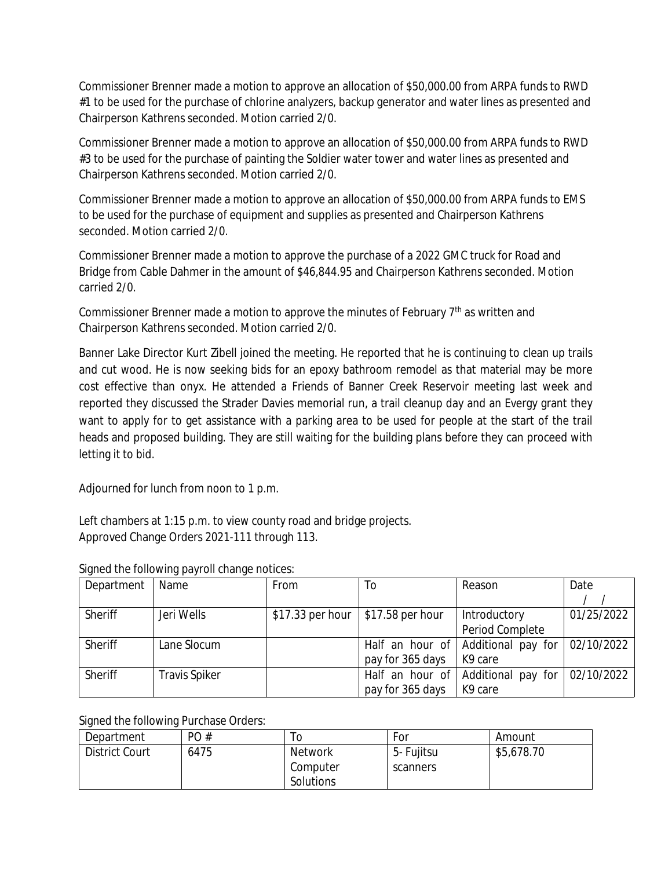Commissioner Brenner made a motion to approve an allocation of \$50,000.00 from ARPA funds to RWD #1 to be used for the purchase of chlorine analyzers, backup generator and water lines as presented and Chairperson Kathrens seconded. Motion carried 2/0.

Commissioner Brenner made a motion to approve an allocation of \$50,000.00 from ARPA funds to RWD #3 to be used for the purchase of painting the Soldier water tower and water lines as presented and Chairperson Kathrens seconded. Motion carried 2/0.

Commissioner Brenner made a motion to approve an allocation of \$50,000.00 from ARPA funds to EMS to be used for the purchase of equipment and supplies as presented and Chairperson Kathrens seconded. Motion carried 2/0.

Commissioner Brenner made a motion to approve the purchase of a 2022 GMC truck for Road and Bridge from Cable Dahmer in the amount of \$46,844.95 and Chairperson Kathrens seconded. Motion carried 2/0.

Commissioner Brenner made a motion to approve the minutes of February  $7<sup>th</sup>$  as written and Chairperson Kathrens seconded. Motion carried 2/0.

Banner Lake Director Kurt Zibell joined the meeting. He reported that he is continuing to clean up trails and cut wood. He is now seeking bids for an epoxy bathroom remodel as that material may be more cost effective than onyx. He attended a Friends of Banner Creek Reservoir meeting last week and reported they discussed the Strader Davies memorial run, a trail cleanup day and an Evergy grant they want to apply for to get assistance with a parking area to be used for people at the start of the trail heads and proposed building. They are still waiting for the building plans before they can proceed with letting it to bid.

Adjourned for lunch from noon to 1 p.m.

Left chambers at 1:15 p.m. to view county road and bridge projects. Approved Change Orders 2021-111 through 113.

| Department | Name                 | <b>From</b>      | To               | Reason             | Date       |
|------------|----------------------|------------------|------------------|--------------------|------------|
|            |                      |                  |                  |                    |            |
| Sheriff    | Jeri Wells           | \$17.33 per hour | \$17.58 per hour | Introductory       | 01/25/2022 |
|            |                      |                  |                  | Period Complete    |            |
| Sheriff    | Lane Slocum          |                  | Half an hour of  | Additional pay for | 02/10/2022 |
|            |                      |                  | pay for 365 days | K9 care            |            |
| Sheriff    | <b>Travis Spiker</b> |                  | Half an hour of  | Additional pay for | 02/10/2022 |
|            |                      |                  | pay for 365 days | K9 care            |            |

## Signed the following payroll change notices:

Signed the following Purchase Orders:

| Department            | PO#  | 10             | For        | Amount     |
|-----------------------|------|----------------|------------|------------|
| <b>District Court</b> | 6475 | <b>Network</b> | 5- Fujitsu | \$5,678.70 |
|                       |      | Computer       | scanners   |            |
|                       |      | Solutions      |            |            |